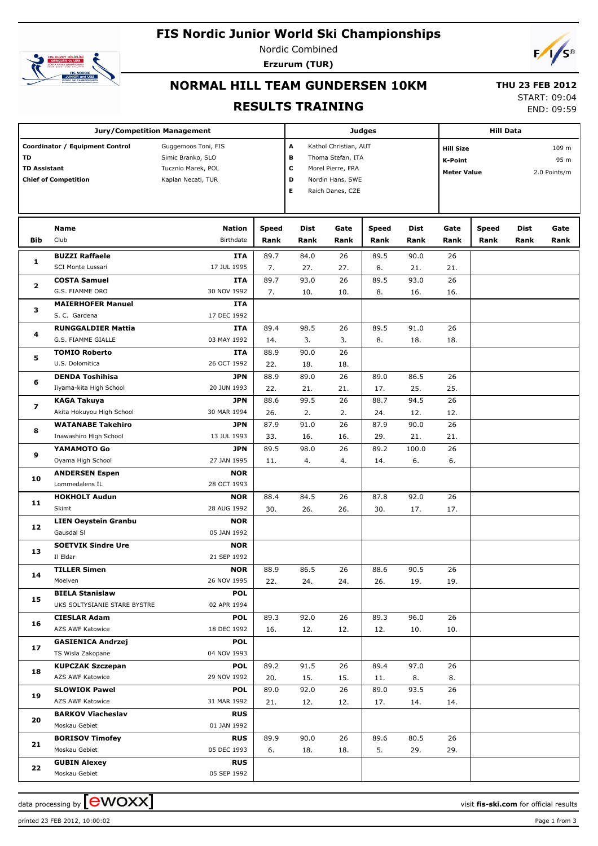## **FIS Nordic Junior World Ski Championships**



Nordic Combined **Erzurum (TUR)**



#### **NORMAL HILL TEAM GUNDERSEN 10KM**

# **RESULTS TRAINING**

 **THU 23 FEB 2012** START: 09:04

END: 09:59

| <b>Jury/Competition Management</b> |                                                                |                                                                                      |                       |                                                                                                         | <b>Judges</b> |              | <b>Hill Data</b>                                                                          |      |              |      |      |
|------------------------------------|----------------------------------------------------------------|--------------------------------------------------------------------------------------|-----------------------|---------------------------------------------------------------------------------------------------------|---------------|--------------|-------------------------------------------------------------------------------------------|------|--------------|------|------|
| TD<br><b>TD Assistant</b>          | Coordinator / Equipment Control<br><b>Chief of Competition</b> | Guggemoos Toni, FIS<br>Simic Branko, SLO<br>Tucznio Marek, POL<br>Kaplan Necati, TUR | A<br>в<br>с<br>D<br>Е | Kathol Christian, AUT<br>Thoma Stefan, ITA<br>Morel Pierre, FRA<br>Nordin Hans, SWE<br>Raich Danes, CZE |               |              | <b>Hill Size</b><br>109 m<br>95 m<br><b>K-Point</b><br>2.0 Points/m<br><b>Meter Value</b> |      |              |      |      |
|                                    | Name                                                           | Nation                                                                               | <b>Speed</b>          | Dist                                                                                                    | Gate          | <b>Speed</b> | Dist                                                                                      | Gate | <b>Speed</b> | Dist | Gate |
| Bib                                | Club                                                           | Birthdate                                                                            | Rank                  | Rank                                                                                                    | Rank          | Rank         | Rank                                                                                      | Rank | Rank         | Rank | Rank |
| 1                                  | <b>BUZZI Raffaele</b>                                          | <b>ITA</b>                                                                           | 89.7                  | 84.0                                                                                                    | 26            | 89.5         | 90.0                                                                                      | 26   |              |      |      |
|                                    | SCI Monte Lussari                                              | 17 JUL 1995                                                                          | 7.                    | 27.                                                                                                     | 27.           | 8.           | 21.                                                                                       | 21.  |              |      |      |
| 2                                  | <b>COSTA Samuel</b>                                            | <b>ITA</b>                                                                           | 89.7                  | 93.0                                                                                                    | 26            | 89.5         | 93.0                                                                                      | 26   |              |      |      |
|                                    | G.S. FIAMME ORO                                                | 30 NOV 1992                                                                          | 7.                    | 10.                                                                                                     | 10.           | 8.           | 16.                                                                                       | 16.  |              |      |      |
| з                                  | <b>MAIERHOFER Manuel</b><br>S. C. Gardena                      | <b>ITA</b><br>17 DEC 1992                                                            |                       |                                                                                                         |               |              |                                                                                           |      |              |      |      |
|                                    | <b>RUNGGALDIER Mattia</b>                                      | <b>ITA</b>                                                                           | 89.4                  | 98.5                                                                                                    | 26            | 89.5         | 91.0                                                                                      | 26   |              |      |      |
| 4                                  | G.S. FIAMME GIALLE                                             | 03 MAY 1992                                                                          | 14.                   | 3.                                                                                                      | 3.            | 8.           | 18.                                                                                       | 18.  |              |      |      |
|                                    | <b>TOMIO Roberto</b>                                           | <b>ITA</b>                                                                           | 88.9                  | 90.0                                                                                                    | 26            |              |                                                                                           |      |              |      |      |
| 5                                  | U.S. Dolomitica                                                | 26 OCT 1992                                                                          | 22.                   | 18.                                                                                                     | 18.           |              |                                                                                           |      |              |      |      |
|                                    | <b>DENDA Toshihisa</b>                                         | <b>JPN</b>                                                                           | 88.9                  | 89.0                                                                                                    | 26            | 89.0         | 86.5                                                                                      | 26   |              |      |      |
| 6                                  | Iiyama-kita High School                                        | 20 JUN 1993                                                                          | 22.                   | 21.                                                                                                     | 21.           | 17.          | 25.                                                                                       | 25.  |              |      |      |
|                                    | KAGA Takuya                                                    | <b>JPN</b>                                                                           | 88.6                  | 99.5                                                                                                    | 26            | 88.7         | 94.5                                                                                      | 26   |              |      |      |
| 7<br>8                             | Akita Hokuyou High School                                      | 30 MAR 1994                                                                          | 26.                   | 2.                                                                                                      | 2.            | 24.          | 12.                                                                                       | 12.  |              |      |      |
|                                    | <b>WATANABE Takehiro</b>                                       | <b>JPN</b>                                                                           | 87.9                  | 91.0                                                                                                    | 26            | 87.9         | 90.0                                                                                      | 26   |              |      |      |
|                                    | Inawashiro High School                                         | 13 JUL 1993                                                                          | 33.                   | 16.                                                                                                     | 16.           | 29.          | 21.                                                                                       | 21.  |              |      |      |
| 9<br>10<br>11                      | YAMAMOTO Go                                                    | <b>JPN</b>                                                                           | 89.5                  | 98.0                                                                                                    | 26            | 89.2         | 100.0                                                                                     | 26   |              |      |      |
|                                    | Oyama High School                                              | 27 JAN 1995                                                                          | 11.                   | 4.                                                                                                      | 4.            | 14.          | 6.                                                                                        | 6.   |              |      |      |
|                                    | <b>ANDERSEN Espen</b>                                          | <b>NOR</b>                                                                           |                       |                                                                                                         |               |              |                                                                                           |      |              |      |      |
|                                    | Lommedalens IL                                                 | 28 OCT 1993                                                                          |                       |                                                                                                         |               |              |                                                                                           |      |              |      |      |
|                                    | <b>HOKHOLT Audun</b>                                           | <b>NOR</b>                                                                           | 88.4                  | 84.5                                                                                                    | 26            | 87.8         | 92.0                                                                                      | 26   |              |      |      |
|                                    | Skimt                                                          | 28 AUG 1992                                                                          | 30.                   | 26.                                                                                                     | 26.           | 30.          | 17.                                                                                       | 17.  |              |      |      |
| 12                                 | <b>LIEN Oeystein Granbu</b>                                    | <b>NOR</b>                                                                           |                       |                                                                                                         |               |              |                                                                                           |      |              |      |      |
|                                    | Gausdal SI                                                     | 05 JAN 1992                                                                          |                       |                                                                                                         |               |              |                                                                                           |      |              |      |      |
| 13                                 | <b>SOETVIK Sindre Ure</b><br>Il Eldar                          | <b>NOR</b><br>21 SEP 1992                                                            |                       |                                                                                                         |               |              |                                                                                           |      |              |      |      |
|                                    | <b>TILLER Simen</b>                                            | <b>NOR</b>                                                                           | 88.9                  | 86.5                                                                                                    | 26            | 88.6         | 90.5                                                                                      | 26   |              |      |      |
| 14                                 | Moelven                                                        | 26 NOV 1995                                                                          | 22.                   | 24.                                                                                                     | 24.           | 26.          | 19.                                                                                       | 19.  |              |      |      |
|                                    | <b>BIELA Stanislaw</b>                                         | <b>POL</b>                                                                           |                       |                                                                                                         |               |              |                                                                                           |      |              |      |      |
| 15                                 | UKS SOLTYSIANIE STARE BYSTRE                                   | 02 APR 1994                                                                          |                       |                                                                                                         |               |              |                                                                                           |      |              |      |      |
|                                    | <b>CIESLAR Adam</b>                                            | <b>POL</b>                                                                           | 89.3                  | 92.0                                                                                                    | 26            | 89.3         | 96.0                                                                                      | 26   |              |      |      |
| 16                                 | AZS AWF Katowice                                               | 18 DEC 1992                                                                          | 16.                   | 12.                                                                                                     | 12.           | 12.          | 10.                                                                                       | 10.  |              |      |      |
|                                    | <b>GASIENICA Andrzej</b>                                       | <b>POL</b>                                                                           |                       |                                                                                                         |               |              |                                                                                           |      |              |      |      |
| 17                                 | TS Wisla Zakopane                                              | 04 NOV 1993                                                                          |                       |                                                                                                         |               |              |                                                                                           |      |              |      |      |
| 18                                 | <b>KUPCZAK Szczepan</b>                                        | <b>POL</b>                                                                           | 89.2                  | 91.5                                                                                                    | 26            | 89.4         | 97.0                                                                                      | 26   |              |      |      |
|                                    | AZS AWF Katowice                                               | 29 NOV 1992                                                                          | 20.                   | 15.                                                                                                     | 15.           | 11.          | 8.                                                                                        | 8.   |              |      |      |
| 19                                 | <b>SLOWIOK Pawel</b>                                           | <b>POL</b>                                                                           | 89.0                  | 92.0                                                                                                    | 26            | 89.0         | 93.5                                                                                      | 26   |              |      |      |
|                                    | AZS AWF Katowice                                               | 31 MAR 1992                                                                          | 21.                   | 12.                                                                                                     | 12.           | 17.          | 14.                                                                                       | 14.  |              |      |      |
| 20                                 | <b>BARKOV Viacheslav</b><br>Moskau Gebiet                      | <b>RUS</b>                                                                           |                       |                                                                                                         |               |              |                                                                                           |      |              |      |      |
|                                    | <b>BORISOV Timofey</b>                                         | 01 JAN 1992                                                                          |                       | 90.0                                                                                                    | 26            |              |                                                                                           | 26   |              |      |      |
| 21                                 | Moskau Gebiet                                                  | <b>RUS</b><br>05 DEC 1993                                                            | 89.9<br>6.            | 18.                                                                                                     | 18.           | 89.6<br>5.   | 80.5<br>29.                                                                               | 29.  |              |      |      |
|                                    | <b>GUBIN Alexey</b>                                            | <b>RUS</b>                                                                           |                       |                                                                                                         |               |              |                                                                                           |      |              |      |      |
| 22                                 | Moskau Gebiet                                                  | 05 SEP 1992                                                                          |                       |                                                                                                         |               |              |                                                                                           |      |              |      |      |

data processing by **CWOXX** and  $\overline{C}$  and  $\overline{C}$  and  $\overline{C}$  and  $\overline{C}$  and  $\overline{C}$  and  $\overline{C}$  and  $\overline{C}$  and  $\overline{C}$  and  $\overline{C}$  and  $\overline{C}$  and  $\overline{C}$  and  $\overline{C}$  and  $\overline{C}$  and  $\overline{C}$  and  $\overline{C}$ 

printed 23 FEB 2012, 10:00:02 Page 1 from 3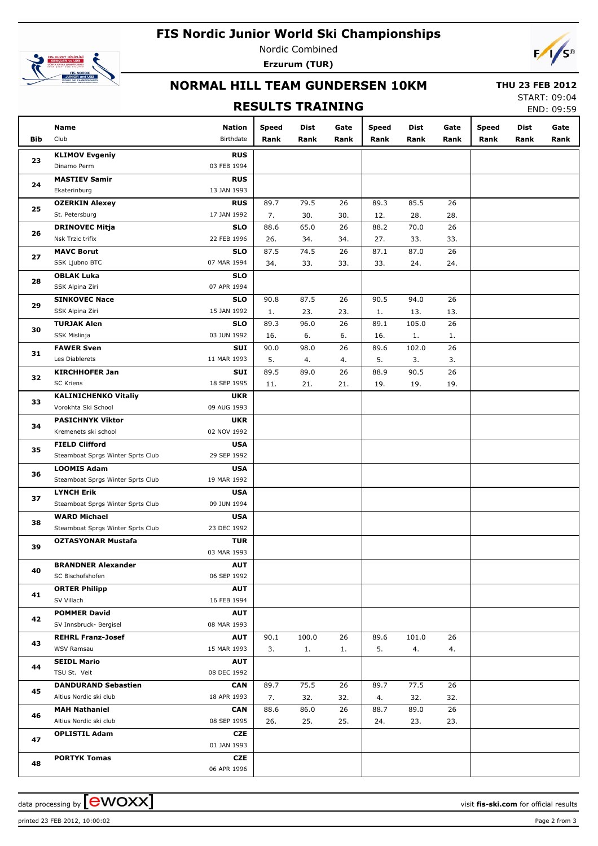## **FIS Nordic Junior World Ski Championships**



Nordic Combined **Erzurum (TUR)**



## **NORMAL HILL TEAM GUNDERSEN 10KM**

#### **RESULTS TRAINING**

 **THU 23 FEB 2012** START: 09:04

END: 09:59

|     | Name                                      | Nation                    | <b>Speed</b> | Dist        | Gate      | <b>Speed</b> | Dist        | Gate      | <b>Speed</b> | Dist | Gate |
|-----|-------------------------------------------|---------------------------|--------------|-------------|-----------|--------------|-------------|-----------|--------------|------|------|
| Bib | Club                                      | Birthdate                 | Rank         | Rank        | Rank      | Rank         | Rank        | Rank      | Rank         | Rank | Rank |
|     | <b>KLIMOV Evgeniy</b>                     | <b>RUS</b>                |              |             |           |              |             |           |              |      |      |
| 23  | Dinamo Perm                               | 03 FEB 1994               |              |             |           |              |             |           |              |      |      |
|     | <b>MASTIEV Samir</b>                      | <b>RUS</b>                |              |             |           |              |             |           |              |      |      |
| 24  | Ekaterinburg                              | 13 JAN 1993               |              |             |           |              |             |           |              |      |      |
|     | <b>OZERKIN Alexey</b>                     | <b>RUS</b>                | 89.7         | 79.5        | 26        | 89.3         | 85.5        | 26        |              |      |      |
| 25  | St. Petersburg                            | 17 JAN 1992               | 7.           | 30.         | 30.       | 12.          | 28.         | 28.       |              |      |      |
| 26  | <b>DRINOVEC Mitja</b>                     | <b>SLO</b>                | 88.6         | 65.0        | 26        | 88.2         | 70.0        | 26        |              |      |      |
|     | Nsk Trzic trifix                          | 22 FEB 1996               | 26.          | 34.         | 34.       | 27.          | 33.         | 33.       |              |      |      |
| 27  | <b>MAVC Borut</b>                         | <b>SLO</b>                | 87.5         | 74.5        | 26        | 87.1         | 87.0        | 26        |              |      |      |
|     | SSK Ljubno BTC                            | 07 MAR 1994               | 34.          | 33.         | 33.       | 33.          | 24.         | 24.       |              |      |      |
| 28  | <b>OBLAK Luka</b>                         | <b>SLO</b>                |              |             |           |              |             |           |              |      |      |
|     | SSK Alpina Ziri                           | 07 APR 1994               |              |             |           |              |             |           |              |      |      |
| 29  | <b>SINKOVEC Nace</b>                      | <b>SLO</b>                | 90.8         | 87.5        | 26        | 90.5         | 94.0        | 26        |              |      |      |
|     | SSK Alpina Ziri                           | 15 JAN 1992               | 1.           | 23.         | 23.       | 1.           | 13.         | 13.       |              |      |      |
| 30  | <b>TURJAK Alen</b>                        | <b>SLO</b>                | 89.3         | 96.0        | 26        | 89.1         | 105.0       | 26        |              |      |      |
|     | SSK Mislinja                              | 03 JUN 1992               | 16.          | 6.          | 6.        | 16.          | 1.          | 1.        |              |      |      |
| 31  | <b>FAWER Sven</b>                         | SUI                       | 90.0         | 98.0        | 26        | 89.6         | 102.0       | 26        |              |      |      |
|     | Les Diablerets                            | 11 MAR 1993               | 5.           | 4.          | 4.        | 5.           | 3.          | 3.        |              |      |      |
| 32  | <b>KIRCHHOFER Jan</b><br><b>SC Kriens</b> | SUI<br>18 SEP 1995        | 89.5         | 89.0<br>21. | 26<br>21. | 88.9<br>19.  | 90.5<br>19. | 26<br>19. |              |      |      |
|     | <b>KALINICHENKO Vitaliy</b>               | <b>UKR</b>                | 11.          |             |           |              |             |           |              |      |      |
| 33  | Vorokhta Ski School                       | 09 AUG 1993               |              |             |           |              |             |           |              |      |      |
|     | <b>PASICHNYK Viktor</b>                   | <b>UKR</b>                |              |             |           |              |             |           |              |      |      |
| 34  | Kremenets ski school                      | 02 NOV 1992               |              |             |           |              |             |           |              |      |      |
|     | <b>FIELD Clifford</b>                     | <b>USA</b>                |              |             |           |              |             |           |              |      |      |
| 35  | Steamboat Sprgs Winter Sprts Club         | 29 SEP 1992               |              |             |           |              |             |           |              |      |      |
|     | <b>LOOMIS Adam</b>                        | <b>USA</b>                |              |             |           |              |             |           |              |      |      |
| 36  | Steamboat Sprgs Winter Sprts Club         | 19 MAR 1992               |              |             |           |              |             |           |              |      |      |
|     | <b>LYNCH Erik</b>                         | <b>USA</b>                |              |             |           |              |             |           |              |      |      |
| 37  | Steamboat Sprgs Winter Sprts Club         | 09 JUN 1994               |              |             |           |              |             |           |              |      |      |
|     | <b>WARD Michael</b>                       | <b>USA</b>                |              |             |           |              |             |           |              |      |      |
| 38  | Steamboat Sprgs Winter Sprts Club         | 23 DEC 1992               |              |             |           |              |             |           |              |      |      |
| 39  | <b>OZTASYONAR Mustafa</b>                 | <b>TUR</b>                |              |             |           |              |             |           |              |      |      |
|     |                                           | 03 MAR 1993               |              |             |           |              |             |           |              |      |      |
| 40  | <b>BRANDNER Alexander</b>                 | <b>AUT</b>                |              |             |           |              |             |           |              |      |      |
|     | SC Bischofshofen                          | 06 SEP 1992               |              |             |           |              |             |           |              |      |      |
| 41  | <b>ORTER Philipp</b>                      | <b>AUT</b>                |              |             |           |              |             |           |              |      |      |
|     | SV Villach                                | 16 FEB 1994               |              |             |           |              |             |           |              |      |      |
| 42  | <b>POMMER David</b>                       | <b>AUT</b>                |              |             |           |              |             |           |              |      |      |
|     | SV Innsbruck- Bergisel                    | 08 MAR 1993               |              |             |           |              |             |           |              |      |      |
| 43  | <b>REHRL Franz-Josef</b>                  | <b>AUT</b>                | 90.1         | 100.0       | 26        | 89.6         | 101.0       | 26        |              |      |      |
|     | WSV Ramsau                                | 15 MAR 1993               | 3.           | 1.          | 1.        | 5.           | 4.          | 4.        |              |      |      |
| 44  | <b>SEIDL Mario</b><br>TSU St. Veit        | <b>AUT</b><br>08 DEC 1992 |              |             |           |              |             |           |              |      |      |
|     | <b>DANDURAND Sebastien</b>                | CAN                       | 89.7         | 75.5        | 26        | 89.7         | 77.5        | 26        |              |      |      |
| 45  | Altius Nordic ski club                    | 18 APR 1993               | 7.           | 32.         | 32.       | 4.           | 32.         | 32.       |              |      |      |
|     | <b>MAH Nathaniel</b>                      | <b>CAN</b>                | 88.6         | 86.0        | 26        | 88.7         | 89.0        | 26        |              |      |      |
| 46  | Altius Nordic ski club                    | 08 SEP 1995               | 26.          | 25.         | 25.       | 24.          | 23.         | 23.       |              |      |      |
|     | <b>OPLISTIL Adam</b>                      | CZE                       |              |             |           |              |             |           |              |      |      |
| 47  |                                           | 01 JAN 1993               |              |             |           |              |             |           |              |      |      |
|     | <b>PORTYK Tomas</b>                       | CZE                       |              |             |           |              |             |           |              |      |      |
| 48  |                                           | 06 APR 1996               |              |             |           |              |             |           |              |      |      |

printed 23 FEB 2012, 10:00:02 Page 2 from 3

data processing by **CWOXX** and  $\overline{A}$  and  $\overline{B}$  wisit **fis-ski.com** for official results